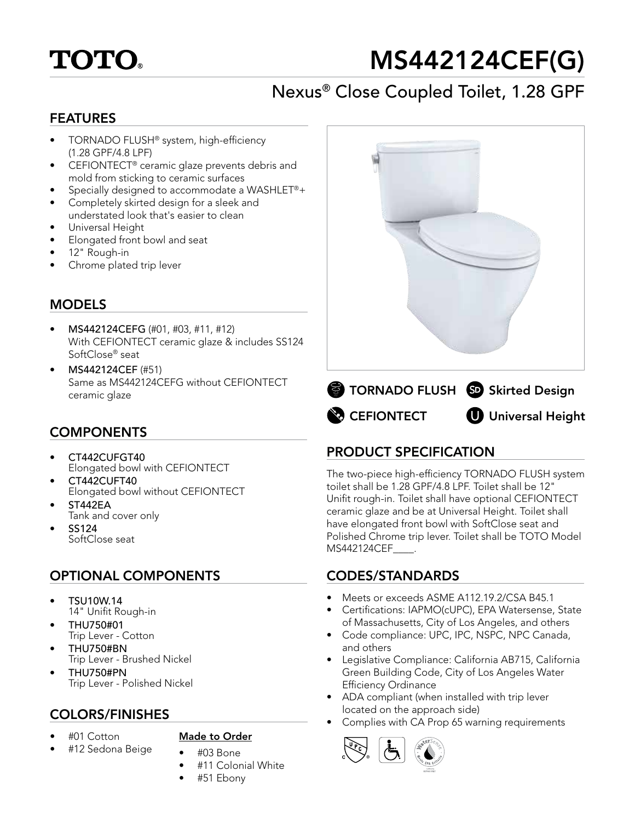# **TOTO**

# MS442124CEF(G)

## Nexus® Close Coupled Toilet, 1.28 GPF

#### FEATURES

- TORNADO FLUSH® system, high-efficiency (1.28 GPF/4.8 LPF)
- CEFIONTECT® ceramic glaze prevents debris and mold from sticking to ceramic surfaces
- Specially designed to accommodate a WASHLET®+
- Completely skirted design for a sleek and understated look that's easier to clean
- Universal Height
- Elongated front bowl and seat
- 12" Rough-in
- Chrome plated trip lever

### **MODELS**

- MS442124CEFG (#01, #03, #11, #12) With CEFIONTECT ceramic glaze & includes SS124 SoftClose® seat
- MS442124CEF (#51) Same as MS442124CEFG without CEFIONTECT ceramic glaze

#### **COMPONENTS**

- CT442CUFGT40 Elongated bowl with CEFIONTECT
- CT442CUFT40 Elongated bowl without CEFIONTECT
- ST442EA
- Tank and cover only
- SS124 SoftClose seat

#### OPTIONAL COMPONENTS

- TSU10W.14 14" Unifit Rough-in
- THU750#01 Trip Lever - Cotton
- THU750#BN Trip Lever - Brushed Nickel
- THU750#PN Trip Lever - Polished Nickel

• #01 Cotton

#### Made to Order

- #12 Sedona Beige
- #03 Bone • #11 Colonial White
- #51 Ebony





#### PRODUCT SPECIFICATION

The two-piece high-efficiency TORNADO FLUSH system toilet shall be 1.28 GPF/4.8 LPF. Toilet shall be 12" Unifit rough-in. Toilet shall have optional CEFIONTECT ceramic glaze and be at Universal Height. Toilet shall have elongated front bowl with SoftClose seat and Polished Chrome trip lever. Toilet shall be TOTO Model MS442124CEF\_\_\_\_.

#### CODES/STANDARDS

- Meets or exceeds ASME A112.19.2/CSA B45.1
- Certifications: IAPMO(cUPC), EPA Watersense, State of Massachusetts, City of Los Angeles, and others
- Code compliance: UPC, IPC, NSPC, NPC Canada, and others
- Legislative Compliance: California AB715, California Green Building Code, City of Los Angeles Water Efficiency Ordinance
- ADA compliant (when installed with trip lever located on the approach side)
- **COLORS/FINISHES**<br>• Complies with CA Prop 65 warning requirements